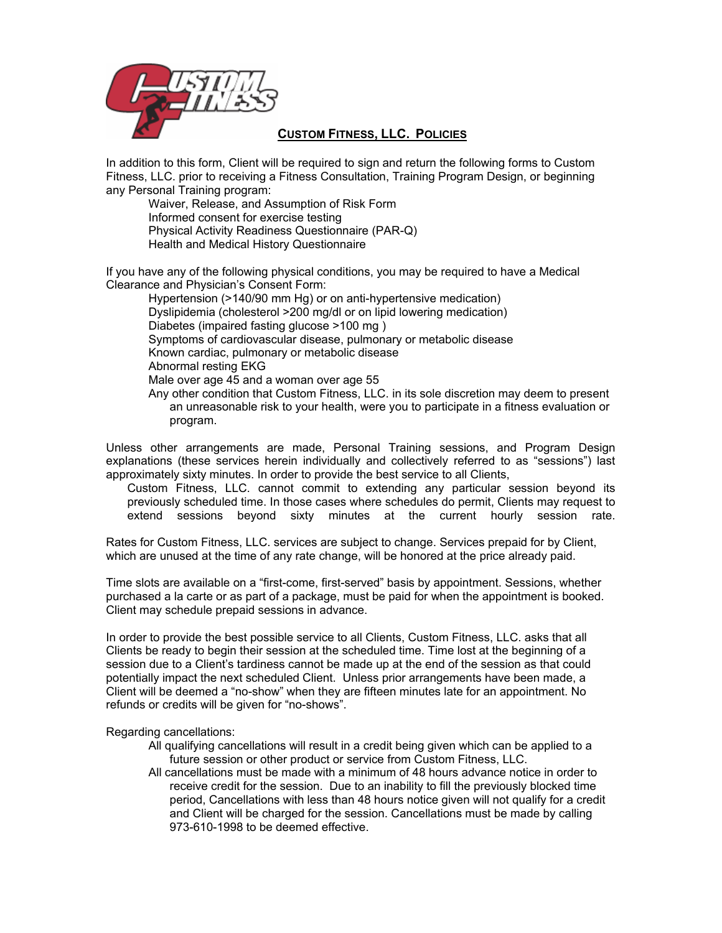

## **CUSTOM FITNESS, LLC. POLICIES**

In addition to this form, Client will be required to sign and return the following forms to Custom Fitness, LLC. prior to receiving a Fitness Consultation, Training Program Design, or beginning any Personal Training program:

Waiver, Release, and Assumption of Risk Form Informed consent for exercise testing Physical Activity Readiness Questionnaire (PAR-Q) Health and Medical History Questionnaire

If you have any of the following physical conditions, you may be required to have a Medical Clearance and Physician's Consent Form:

Hypertension (>140/90 mm Hg) or on anti-hypertensive medication) Dyslipidemia (cholesterol >200 mg/dl or on lipid lowering medication) Diabetes (impaired fasting glucose >100 mg ) Symptoms of cardiovascular disease, pulmonary or metabolic disease Known cardiac, pulmonary or metabolic disease Abnormal resting EKG Male over age 45 and a woman over age 55 Any other condition that Custom Fitness, LLC. in its sole discretion may deem to present an unreasonable risk to your health, were you to participate in a fitness evaluation or program.

Unless other arrangements are made, Personal Training sessions, and Program Design explanations (these services herein individually and collectively referred to as "sessions") last approximately sixty minutes. In order to provide the best service to all Clients,

 Custom Fitness, LLC. cannot commit to extending any particular session beyond its previously scheduled time. In those cases where schedules do permit, Clients may request to extend sessions beyond sixty minutes at the current hourly session rate.

Rates for Custom Fitness, LLC. services are subject to change. Services prepaid for by Client, which are unused at the time of any rate change, will be honored at the price already paid.

Time slots are available on a "first-come, first-served" basis by appointment. Sessions, whether purchased a la carte or as part of a package, must be paid for when the appointment is booked. Client may schedule prepaid sessions in advance.

In order to provide the best possible service to all Clients, Custom Fitness, LLC. asks that all Clients be ready to begin their session at the scheduled time. Time lost at the beginning of a session due to a Client's tardiness cannot be made up at the end of the session as that could potentially impact the next scheduled Client. Unless prior arrangements have been made, a Client will be deemed a "no-show" when they are fifteen minutes late for an appointment. No refunds or credits will be given for "no-shows".

Regarding cancellations:

- All qualifying cancellations will result in a credit being given which can be applied to a future session or other product or service from Custom Fitness, LLC.
- All cancellations must be made with a minimum of 48 hours advance notice in order to receive credit for the session. Due to an inability to fill the previously blocked time period, Cancellations with less than 48 hours notice given will not qualify for a credit and Client will be charged for the session. Cancellations must be made by calling 973-610-1998 to be deemed effective.